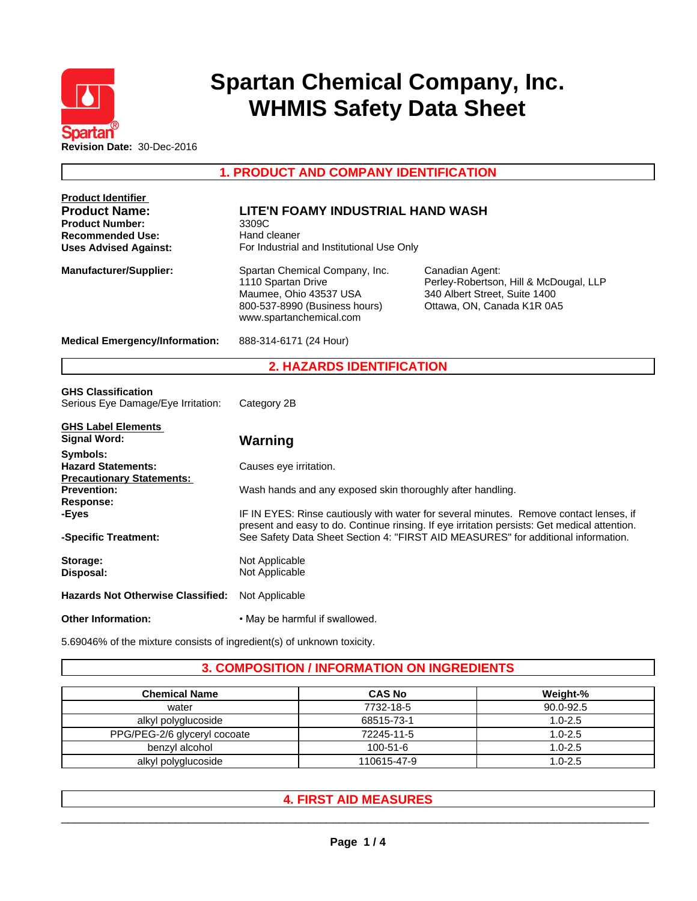

# **Spartan Chemical Company, Inc. WHMIS Safety Data Sheet**

**1. PRODUCT AND COMPANY IDENTIFICATION**

| <b>Product Identifier</b>                |                                                                                                                                                                                   |                                                                                                                          |  |  |
|------------------------------------------|-----------------------------------------------------------------------------------------------------------------------------------------------------------------------------------|--------------------------------------------------------------------------------------------------------------------------|--|--|
| <b>Product Name:</b>                     | LITE'N FOAMY INDUSTRIAL HAND WASH                                                                                                                                                 |                                                                                                                          |  |  |
| <b>Product Number:</b>                   | 3309C                                                                                                                                                                             |                                                                                                                          |  |  |
| <b>Recommended Use:</b>                  | Hand cleaner                                                                                                                                                                      |                                                                                                                          |  |  |
| <b>Uses Advised Against:</b>             | For Industrial and Institutional Use Only                                                                                                                                         |                                                                                                                          |  |  |
| <b>Manufacturer/Supplier:</b>            | Spartan Chemical Company, Inc.<br>1110 Spartan Drive<br>Maumee, Ohio 43537 USA<br>800-537-8990 (Business hours)<br>www.spartanchemical.com                                        | Canadian Agent:<br>Perley-Robertson, Hill & McDougal, LLP<br>340 Albert Street, Suite 1400<br>Ottawa, ON, Canada K1R 0A5 |  |  |
| <b>Medical Emergency/Information:</b>    | 888-314-6171 (24 Hour)                                                                                                                                                            |                                                                                                                          |  |  |
|                                          | <b>2. HAZARDS IDENTIFICATION</b>                                                                                                                                                  |                                                                                                                          |  |  |
| <b>GHS Classification</b>                |                                                                                                                                                                                   |                                                                                                                          |  |  |
| Serious Eye Damage/Eye Irritation:       | Category 2B                                                                                                                                                                       |                                                                                                                          |  |  |
| <b>GHS Label Elements</b>                |                                                                                                                                                                                   |                                                                                                                          |  |  |
| <b>Signal Word:</b>                      | Warning                                                                                                                                                                           |                                                                                                                          |  |  |
| Symbols:<br><b>Hazard Statements:</b>    | Causes eye irritation.                                                                                                                                                            |                                                                                                                          |  |  |
| <b>Precautionary Statements:</b>         |                                                                                                                                                                                   |                                                                                                                          |  |  |
| <b>Prevention:</b><br>Response:          | Wash hands and any exposed skin thoroughly after handling.                                                                                                                        |                                                                                                                          |  |  |
| -Eyes                                    | IF IN EYES: Rinse cautiously with water for several minutes. Remove contact lenses, if                                                                                            |                                                                                                                          |  |  |
| -Specific Treatment:                     | present and easy to do. Continue rinsing. If eye irritation persists: Get medical attention.<br>See Safety Data Sheet Section 4: "FIRST AID MEASURES" for additional information. |                                                                                                                          |  |  |
| Storage:                                 | Not Applicable                                                                                                                                                                    |                                                                                                                          |  |  |
| Disposal:                                | Not Applicable                                                                                                                                                                    |                                                                                                                          |  |  |
| <b>Hazards Not Otherwise Classified:</b> | Not Applicable                                                                                                                                                                    |                                                                                                                          |  |  |
| <b>Other Information:</b>                | . May be harmful if swallowed.                                                                                                                                                    |                                                                                                                          |  |  |

5.69046% of the mixture consists of ingredient(s) of unknown toxicity.

## **3. COMPOSITION / INFORMATION ON INGREDIENTS**

| Chemical Name                | <b>CAS No</b>  | Weight-%    |
|------------------------------|----------------|-------------|
| water                        | 7732-18-5      | 90.0-92.5   |
| alkyl polyglucoside          | 68515-73-1     | $1.0 - 2.5$ |
| PPG/PEG-2/6 glyceryl cocoate | 72245-11-5     | $1.0 - 2.5$ |
| benzvl alcohol               | $100 - 51 - 6$ | $1.0 - 2.5$ |
| alkyl polyglucoside          | 110615-47-9    | $1.0 - 2.5$ |

# **4. FIRST AID MEASURES**

 $\_$  ,  $\_$  ,  $\_$  ,  $\_$  ,  $\_$  ,  $\_$  ,  $\_$  ,  $\_$  ,  $\_$  ,  $\_$  ,  $\_$  ,  $\_$  ,  $\_$  ,  $\_$  ,  $\_$  ,  $\_$  ,  $\_$  ,  $\_$  ,  $\_$  ,  $\_$  ,  $\_$  ,  $\_$  ,  $\_$  ,  $\_$  ,  $\_$  ,  $\_$  ,  $\_$  ,  $\_$  ,  $\_$  ,  $\_$  ,  $\_$  ,  $\_$  ,  $\_$  ,  $\_$  ,  $\_$  ,  $\_$  ,  $\_$  ,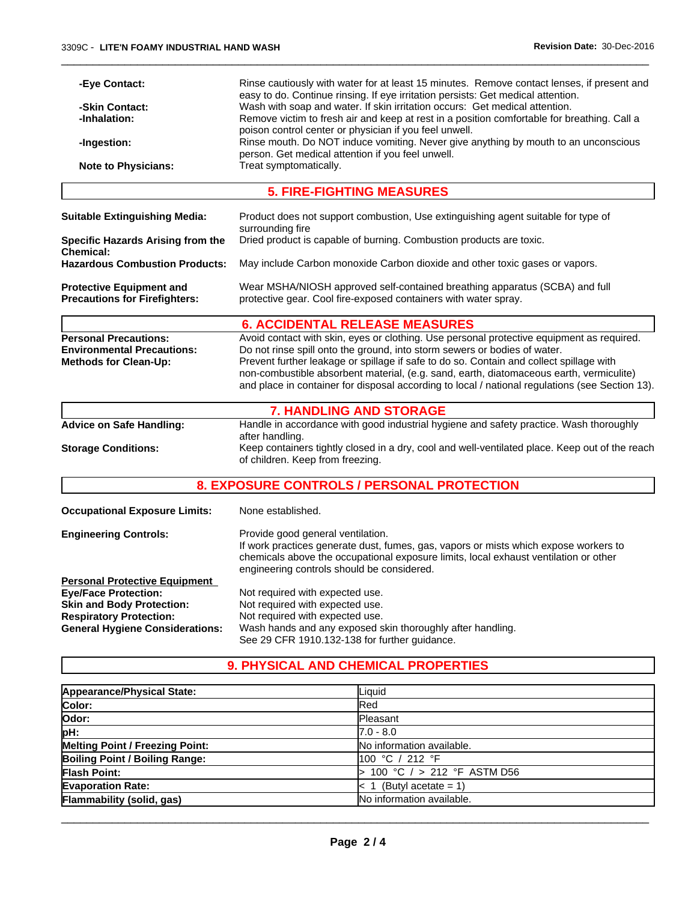| -Eye Contact:                                                         | Rinse cautiously with water for at least 15 minutes. Remove contact lenses, if present and<br>easy to do. Continue rinsing. If eye irritation persists: Get medical attention. |  |  |
|-----------------------------------------------------------------------|--------------------------------------------------------------------------------------------------------------------------------------------------------------------------------|--|--|
| -Skin Contact:                                                        | Wash with soap and water. If skin irritation occurs: Get medical attention.                                                                                                    |  |  |
| -Inhalation:                                                          | Remove victim to fresh air and keep at rest in a position comfortable for breathing. Call a                                                                                    |  |  |
| poison control center or physician if you feel unwell.<br>-Ingestion: |                                                                                                                                                                                |  |  |
|                                                                       | Rinse mouth. Do NOT induce vomiting. Never give anything by mouth to an unconscious<br>person. Get medical attention if you feel unwell.                                       |  |  |
| <b>Note to Physicians:</b>                                            | Treat symptomatically.                                                                                                                                                         |  |  |
|                                                                       |                                                                                                                                                                                |  |  |
|                                                                       | <b>5. FIRE-FIGHTING MEASURES</b>                                                                                                                                               |  |  |
| <b>Suitable Extinguishing Media:</b>                                  | Product does not support combustion, Use extinguishing agent suitable for type of<br>surrounding fire                                                                          |  |  |
| <b>Specific Hazards Arising from the</b>                              | Dried product is capable of burning. Combustion products are toxic.                                                                                                            |  |  |
| Chemical:                                                             |                                                                                                                                                                                |  |  |
| <b>Hazardous Combustion Products:</b>                                 | May include Carbon monoxide Carbon dioxide and other toxic gases or vapors.                                                                                                    |  |  |
| <b>Protective Equipment and</b>                                       | Wear MSHA/NIOSH approved self-contained breathing apparatus (SCBA) and full                                                                                                    |  |  |
| <b>Precautions for Firefighters:</b>                                  | protective gear. Cool fire-exposed containers with water spray.                                                                                                                |  |  |
|                                                                       |                                                                                                                                                                                |  |  |
|                                                                       | <b>6. ACCIDENTAL RELEASE MEASURES</b>                                                                                                                                          |  |  |
| <b>Personal Precautions:</b>                                          | Avoid contact with skin, eyes or clothing. Use personal protective equipment as required.                                                                                      |  |  |
| <b>Environmental Precautions:</b>                                     | Do not rinse spill onto the ground, into storm sewers or bodies of water.<br>Prevent further leakage or spillage if safe to do so. Contain and collect spillage with           |  |  |
| Methods for Clean-Up:                                                 | non-combustible absorbent material, (e.g. sand, earth, diatomaceous earth, vermiculite)                                                                                        |  |  |
|                                                                       | and place in container for disposal according to local / national regulations (see Section 13).                                                                                |  |  |
|                                                                       |                                                                                                                                                                                |  |  |
|                                                                       | <b>7. HANDLING AND STORAGE</b>                                                                                                                                                 |  |  |
| <b>Advice on Safe Handling:</b>                                       | Handle in accordance with good industrial hygiene and safety practice. Wash thoroughly                                                                                         |  |  |
| <b>Storage Conditions:</b>                                            | after handling.<br>Keep containers tightly closed in a dry, cool and well-ventilated place. Keep out of the reach                                                              |  |  |
|                                                                       | of children. Keep from freezing.                                                                                                                                               |  |  |
|                                                                       |                                                                                                                                                                                |  |  |
|                                                                       | 8. EXPOSURE CONTROLS / PERSONAL PROTECTION                                                                                                                                     |  |  |
| <b>Occupational Exposure Limits:</b>                                  | None established.                                                                                                                                                              |  |  |
| Engineering Controls:                                                 | Provide good general ventilation.                                                                                                                                              |  |  |
|                                                                       | If work practices generate dust, fumes, gas, vapors or mists which expose workers to                                                                                           |  |  |
|                                                                       | chemicals above the occupational exposure limits, local exhaust ventilation or other                                                                                           |  |  |
|                                                                       | engineering controls should be considered.                                                                                                                                     |  |  |
| <b>Personal Protective Equipment</b><br><b>Eye/Face Protection:</b>   | Not required with expected use.                                                                                                                                                |  |  |
| <b>Skin and Body Protection:</b>                                      | Not required with expected use.                                                                                                                                                |  |  |
| <b>Respiratory Protection:</b>                                        | Not required with expected use.                                                                                                                                                |  |  |
| <b>General Hygiene Considerations:</b>                                | Wash hands and any exposed skin thoroughly after handling.                                                                                                                     |  |  |

See 29 CFR 1910.132-138 for further guidance.

# **9. PHYSICAL AND CHEMICAL PROPERTIES**

| Appearance/Physical State:             | Liquid                       |
|----------------------------------------|------------------------------|
| Color:                                 | Red                          |
| lOdor:                                 | <b>Pleasant</b>              |
| pH:                                    | $7.0 - 8.0$                  |
| <b>Melting Point / Freezing Point:</b> | No information available.    |
| Boiling Point / Boiling Range:         | 100 °C / 212 °F              |
| <b>Flash Point:</b>                    | 100 °C $/$ > 212 °F ASTM D56 |
| <b>Evaporation Rate:</b>               | (Butyl acetate = 1)          |
| Flammability (solid, gas)              | No information available.    |

 $\_$  ,  $\_$  ,  $\_$  ,  $\_$  ,  $\_$  ,  $\_$  ,  $\_$  ,  $\_$  ,  $\_$  ,  $\_$  ,  $\_$  ,  $\_$  ,  $\_$  ,  $\_$  ,  $\_$  ,  $\_$  ,  $\_$  ,  $\_$  ,  $\_$  ,  $\_$  ,  $\_$  ,  $\_$  ,  $\_$  ,  $\_$  ,  $\_$  ,  $\_$  ,  $\_$  ,  $\_$  ,  $\_$  ,  $\_$  ,  $\_$  ,  $\_$  ,  $\_$  ,  $\_$  ,  $\_$  ,  $\_$  ,  $\_$  ,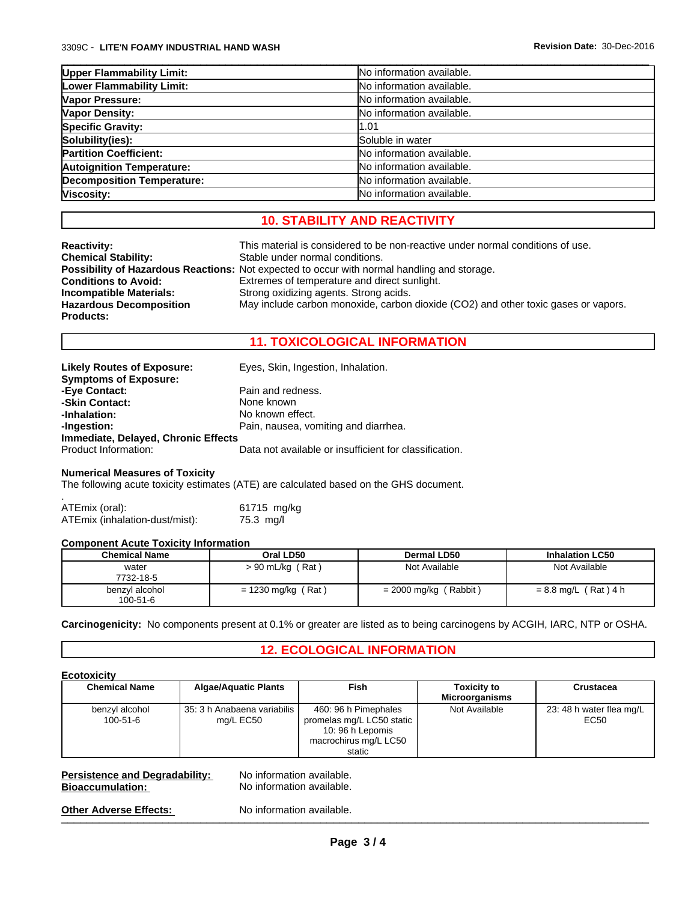| <b>Upper Flammability Limit:</b>  | No information available. |
|-----------------------------------|---------------------------|
| Lower Flammability Limit:         | No information available. |
| Vapor Pressure:                   | No information available. |
| <b>Vapor Density:</b>             | No information available. |
| <b>Specific Gravity:</b>          | 1.01                      |
| Solubility(ies):                  | Soluble in water          |
| <b>Partition Coefficient:</b>     | No information available. |
| <b>Autoignition Temperature:</b>  | No information available. |
| <b>Decomposition Temperature:</b> | No information available. |
| Viscosity:                        | No information available. |

 $\_$  ,  $\_$  ,  $\_$  ,  $\_$  ,  $\_$  ,  $\_$  ,  $\_$  ,  $\_$  ,  $\_$  ,  $\_$  ,  $\_$  ,  $\_$  ,  $\_$  ,  $\_$  ,  $\_$  ,  $\_$  ,  $\_$  ,  $\_$  ,  $\_$  ,  $\_$  ,  $\_$  ,  $\_$  ,  $\_$  ,  $\_$  ,  $\_$  ,  $\_$  ,  $\_$  ,  $\_$  ,  $\_$  ,  $\_$  ,  $\_$  ,  $\_$  ,  $\_$  ,  $\_$  ,  $\_$  ,  $\_$  ,  $\_$  ,

# **10. STABILITY AND REACTIVITY**

| <b>Reactivity:</b>             | This material is considered to be non-reactive under normal conditions of use.                     |
|--------------------------------|----------------------------------------------------------------------------------------------------|
| <b>Chemical Stability:</b>     | Stable under normal conditions.                                                                    |
|                                | <b>Possibility of Hazardous Reactions:</b> Not expected to occur with normal handling and storage. |
| <b>Conditions to Avoid:</b>    | Extremes of temperature and direct sunlight.                                                       |
| Incompatible Materials:        | Strong oxidizing agents. Strong acids.                                                             |
| <b>Hazardous Decomposition</b> | May include carbon monoxide, carbon dioxide (CO2) and other toxic gases or vapors.                 |
| <b>Products:</b>               |                                                                                                    |

## **11. TOXICOLOGICAL INFORMATION**

| <b>Likely Routes of Exposure:</b>   | Eyes, Skin, Ingestion, Inhalation.                     |
|-------------------------------------|--------------------------------------------------------|
| <b>Symptoms of Exposure:</b>        |                                                        |
| -Eye Contact:                       | Pain and redness.                                      |
| -Skin Contact:                      | None known                                             |
| -Inhalation:                        | No known effect.                                       |
| -Ingestion:                         | Pain, nausea, vomiting and diarrhea.                   |
| Immediate, Delayed, Chronic Effects |                                                        |
| Product Information:                | Data not available or insufficient for classification. |

#### **Numerical Measures of Toxicity**

The following acute toxicity estimates (ATE) are calculated based on the GHS document.

ATEmix (oral): 61715 mg/kg<br>ATEmix (inhalation-dust/mist): 75.3 mg/l ATEmix (inhalation-dust/mist):

#### **Component Acute Toxicity Information**

| <b>Chemical Name</b>       | Oral LD50            | <b>Dermal LD50</b>      | <b>Inhalation LC50</b> |
|----------------------------|----------------------|-------------------------|------------------------|
| water<br>7732-18-5         | (Rat<br>> 90 mL/kg   | Not Available           | Not Available          |
| benzyl alcohol<br>100-51-6 | $= 1230$ mg/kg (Rat) | $= 2000$ mg/kg (Rabbit) | $= 8.8$ mg/L (Rat) 4 h |

#### **Carcinogenicity:** No components present at 0.1% or greater are listed as to being carcinogens by ACGIH, IARC, NTP or OSHA.

#### **12. ECOLOGICAL INFORMATION**

| <b>Chemical Name</b>             | <b>Algae/Aquatic Plants</b>              | Fish                                                                                                    | <b>Toxicity to</b><br><b>Microorganisms</b> | <b>Crustacea</b>                 |
|----------------------------------|------------------------------------------|---------------------------------------------------------------------------------------------------------|---------------------------------------------|----------------------------------|
| benzyl alcohol<br>$100 - 51 - 6$ | 35: 3 h Anabaena variabilis<br>mg/L EC50 | 460: 96 h Pimephales<br>promelas mg/L LC50 static<br>10:96 h Lepomis<br>macrochirus mg/L LC50<br>static | Not Available                               | 23: 48 h water flea mg/L<br>EC50 |

| <b>Persistence and Degradability:</b> | No information available. |
|---------------------------------------|---------------------------|
| <b>Bioaccumulation:</b>               | No information available. |
| <b>Other Adverse Effects:</b>         | No information available. |